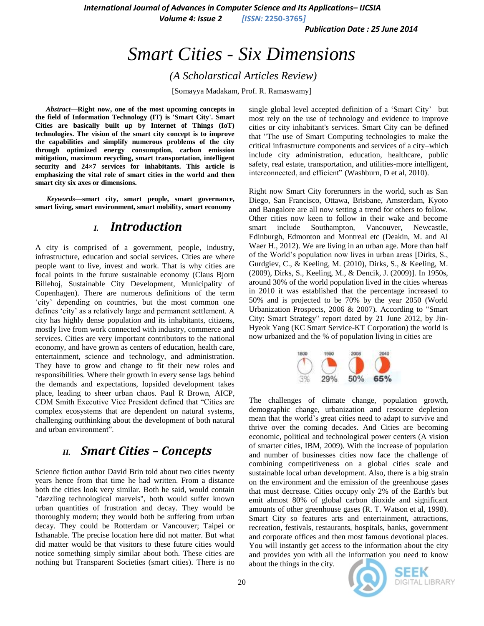*International Journal of Advances in Computer Science and Its Applications– IJCSIA*

*Volume 4: Issue 2 [ISSN:* **2250-3765***]*

*Publication Date : 25 June 2014*

# *Smart Cities - Six Dimensions*

*(A Scholarstical Articles Review)* 

[Somayya Madakam, Prof. R. Ramaswamy]

*Abstract***—Right now, one of the most upcoming concepts in the field of Information Technology (IT) is 'Smart City'. Smart Cities are basically built up by Internet of Things (IoT) technologies. The vision of the smart city concept is to improve the capabilities and simplify numerous problems of the city through optimized energy consumption, carbon emission mitigation, maximum recycling, smart transportation, intelligent security and 24×7 services for inhabitants. This article is emphasizing the vital role of smart cities in the world and then smart city six axes or dimensions.**

*Keywords—***smart city, smart people, smart governance, smart living, smart environment, smart mobility, smart economy**

# *I. Introduction*

A city is comprised of a government, people, industry, infrastructure, education and social services. Cities are where people want to live, invest and work. That is why cities are focal points in the future sustainable economy (Claus Bjorn Billehoj, Sustainable City Development, Municipality of Copenhagen). There are numerous definitions of the term "city" depending on countries, but the most common one defines "city" as a relatively large and permanent settlement. A city has highly dense population and its inhabitants, citizens, mostly live from work connected with industry, commerce and services. Cities are very important contributors to the national economy, and have grown as centers of education, health care, entertainment, science and technology, and administration. They have to grow and change to fit their new roles and responsibilities. Where their growth in every sense lags behind the demands and expectations, lopsided development takes place, leading to sheer urban chaos. Paul R Brown, AICP, CDM Smith Executive Vice President defined that "Cities are complex ecosystems that are dependent on natural systems, challenging outthinking about the development of both natural and urban environment".

# *II. Smart Cities – Concepts*

Science fiction author David Brin told about two cities twenty years hence from that time he had written. From a distance both the cities look very similar. Both he said, would contain "dazzling technological marvels", both would suffer known urban quantities of frustration and decay. They would be thoroughly modern; they would both be suffering from urban decay. They could be Rotterdam or Vancouver; Taipei or Isthanable. The precise location here did not matter. But what did matter would be that visitors to these future cities would notice something simply similar about both. These cities are nothing but Transparent Societies (smart cities). There is no single global level accepted definition of a "Smart City"– but most rely on the use of technology and evidence to improve cities or city inhabitant's services. Smart City can be defined that "The use of Smart Computing technologies to make the critical infrastructure components and services of a city–which include city administration, education, healthcare, public safety, real estate, transportation, and utilities-more intelligent, interconnected, and efficient" (Washburn, D et al, 2010).

Right now Smart City forerunners in the world, such as San Diego, San Francisco, Ottawa, Brisbane, Amsterdam, Kyoto and Bangalore are all now setting a trend for others to follow. Other cities now keen to follow in their wake and become smart include Southampton, Vancouver, Newcastle, Edinburgh, Edmonton and Montreal etc (Deakin, M. and Al Waer H., 2012). We are living in an urban age. More than half of the World"s population now lives in urban areas [Dirks, S., Gurdgiev, C., & Keeling, M. (2010), Dirks, S., & Keeling, M. (2009), Dirks, S., Keeling, M., & Dencik, J. (2009)]. In 1950s, around 30% of the world population lived in the cities whereas in 2010 it was established that the percentage increased to 50% and is projected to be 70% by the year 2050 (World Urbanization Prospects, 2006 & 2007). According to "Smart City: Smart Strategy" report dated by 21 June 2012, by Jin-Hyeok Yang (KC Smart Service-KT Corporation) the world is now urbanized and the % of population living in cities are

| 180G | 1950 | 200B | 2040 |  |
|------|------|------|------|--|
|      |      |      |      |  |
|      |      |      |      |  |
|      | 29%  | 50%  | 65%  |  |

The challenges of climate change, population growth, demographic change, urbanization and resource depletion mean that the world"s great cities need to adapt to survive and thrive over the coming decades. And Cities are becoming economic, political and technological power centers (A vision of smarter cities, IBM, 2009). With the increase of population and number of businesses cities now face the challenge of combining competitiveness on a global cities scale and sustainable local urban development. Also, there is a big strain on the environment and the emission of the greenhouse gases that must decrease. Cities occupy only 2% of the Earth's but emit almost 80% of global carbon dioxide and significant amounts of other greenhouse gases (R. T. Watson et al, 1998). Smart City so features arts and entertainment, attractions, recreation, festivals, restaurants, hospitals, banks, government and corporate offices and then most famous devotional places. You will instantly get access to the information about the city and provides you with all the information you need to know about the things in the city.



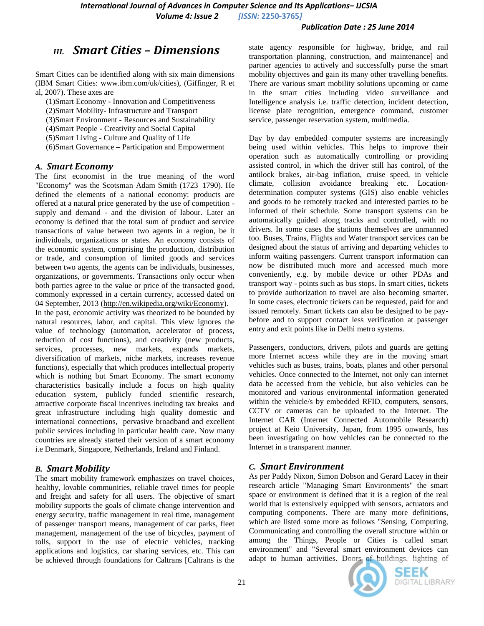# *III. Smart Cities – Dimensions*

Smart Cities can be identified along with six main dimensions (IBM Smart Cities: www.ibm.com/uk/cities), (Giffinger, R et al, 2007). These axes are

(1)Smart Economy **-** Innovation and Competitiveness

(2)Smart Mobility**-** Infrastructure and Transport

(3)Smart Environment **-** Resources and Sustainability

(4)Smart People **-** Creativity and Social Capital

(5)Smart Living **-** Culture and Quality of Life

(6)Smart Governance **–** Participation and Empowerment

### *A. Smart Economy*

The first economist in the true meaning of the word "Economy" was the Scotsman Adam Smith (1723–1790). He defined the elements of a national economy: products are offered at a natural price generated by the use of competition supply and demand - and the division of labour. Later an economy is defined that the total sum of product and service transactions of value between two agents in a region, be it individuals, organizations or states. An economy consists of the economic system, comprising the production, distribution or trade, and consumption of limited goods and services between two agents, the agents can be individuals, businesses, organizations, or governments. Transactions only occur when both parties agree to the value or price of the transacted good, commonly expressed in a certain currency, accessed dated on 04 September, 2013 [\(http://en.wikipedia.org/wiki/Economy\)](http://en.wikipedia.org/wiki/Economy).

In the past, economic activity was theorized to be bounded by natural resources, labor, and capital. This view ignores the value of technology (automation, accelerator of process, reduction of cost functions), and creativity (new products, services, processes, new markets, expands markets, diversification of markets, niche markets, increases revenue functions), especially that which produces intellectual property which is nothing but Smart Economy. The smart economy characteristics basically include a focus on high quality education system, publicly funded scientific research, attractive corporate fiscal incentives including tax breaks and great infrastructure including high quality domestic and international connections, pervasive broadband and excellent public services including in particular health care. Now many countries are already started their version of a smart economy i.e Denmark, Singapore, Netherlands, Ireland and Finland.

## *B. Smart Mobility*

The smart mobility framework emphasizes on travel choices, healthy, lovable communities, reliable travel times for people and freight and safety for all users. The objective of smart mobility supports the goals of climate change intervention and energy security, traffic management in real time, management of passenger transport means, management of car parks, fleet management, management of the use of bicycles, payment of tolls, support in the use of electric vehicles, tracking applications and logistics, car sharing services, etc. This can be achieved through foundations for Caltrans [Caltrans is the

state agency responsible for highway, bridge, and rail transportation planning, construction, and maintenance] and partner agencies to actively and successfully purse the smart mobility objectives and gain its many other travelling benefits. There are various smart mobility solutions upcoming or came in the smart cities including video surveillance and Intelligence analysis i.e. traffic detection, incident detection, license plate recognition, emergence command, customer service, passenger reservation system, multimedia.

Day by day embedded computer systems are increasingly being used within vehicles. This helps to improve their operation such as automatically controlling or providing assisted control, in which the driver still has control, of the antilock brakes, air-bag inflation, cruise speed, in vehicle climate, collision avoidance breaking etc. Locationdetermination computer systems (GIS) also enable vehicles and goods to be remotely tracked and interested parties to be informed of their schedule. Some transport systems can be automatically guided along tracks and controlled, with no drivers. In some cases the stations themselves are unmanned too. Buses, Trains, Flights and Water transport services can be designed about the status of arriving and departing vehicles to inform waiting passengers. Current transport information can now be distributed much more and accessed much more conveniently, e.g. by mobile device or other PDAs and transport way - points such as bus stops. In smart cities, tickets to provide authorization to travel are also becoming smarter. In some cases, electronic tickets can be requested, paid for and issued remotely. Smart tickets can also be designed to be paybefore and to support contact less verification at passenger entry and exit points like in Delhi metro systems.

Passengers, conductors, drivers, pilots and guards are getting more Internet access while they are in the moving smart vehicles such as buses, trains, boats, planes and other personal vehicles. Once connected to the Internet, not only can internet data be accessed from the vehicle, but also vehicles can be monitored and various environmental information generated within the vehicle/s by embedded RFID, computers, sensors, CCTV or cameras can be uploaded to the Internet. The Internet CAR (Internet Connected Automobile Research) project at Keio University, Japan, from 1995 onwards, has been investigating on how vehicles can be connected to the Internet in a transparent manner.

## *C. Smart Environment*

As per Paddy Nixon, Simon Dobson and Gerard Lacey in their research article "Managing Smart Environments" the smart space or environment is defined that it is a region of the real world that is extensively equipped with sensors, actuators and computing components. There are many more definitions, which are listed some more as follows "Sensing, Computing, Communicating and controlling the overall structure within or among the Things, People or Cities is called smart environment" and "Several smart environment devices can adapt to human activities. Doors of buildings, lighting of



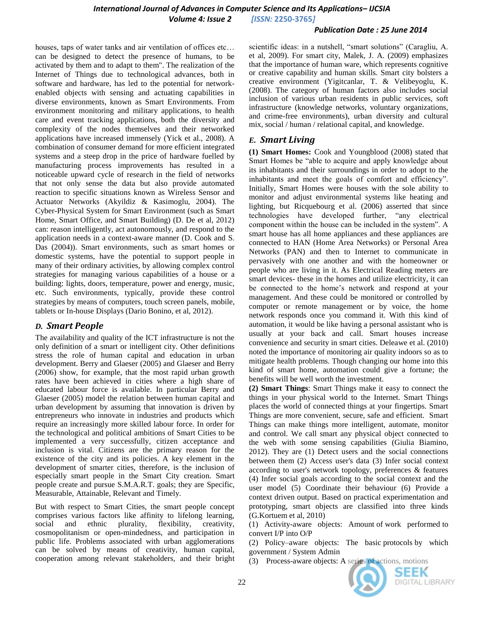#### *International Journal of Advances in Computer Science and Its Applications– IJCSIA Volume 4: Issue 2 [ISSN:* **2250-3765***]*

#### *Publication Date : 25 June 2014*

houses, taps of water tanks and air ventilation of offices etc… can be designed to detect the presence of humans, to be activated by them and to adapt to them". The realization of the Internet of Things due to technological advances, both in software and hardware, has led to the potential for networkenabled objects with sensing and actuating capabilities in diverse environments, known as Smart Environments. From environment monitoring and military applications, to health care and event tracking applications, both the diversity and complexity of the nodes themselves and their networked applications have increased immensely (Yick et al., 2008). A combination of consumer demand for more efficient integrated systems and a steep drop in the price of hardware fuelled by manufacturing process improvements has resulted in a noticeable upward cycle of research in the field of networks that not only sense the data but also provide automated reaction to specific situations known as Wireless Sensor and Actuator Networks (Akyildiz & Kasimoglu, 2004). The Cyber-Physical System for Smart Environment (such as Smart Home, Smart Office, and Smart Building) (D. De et al, 2012) can: reason intelligently, act autonomously, and respond to the application needs in a context-aware manner (D. Cook and S. Das (2004)). Smart environments, such as smart homes or domestic systems, have the potential to support people in many of their ordinary activities, by allowing complex control strategies for managing various capabilities of a house or a building: lights, doors, temperature, power and energy, music, etc. Such environments, typically, provide these control strategies by means of computers, touch screen panels, mobile, tablets or In-house Displays (Dario Bonino, et al, 2012).

### *D. Smart People*

The availability and quality of the ICT infrastructure is not the only definition of a smart or intelligent city. Other definitions stress the role of human capital and education in urban development. Berry and Glaeser (2005) and Glaeser and Berry (2006) show, for example, that the most rapid urban growth rates have been achieved in cities where a high share of educated labour force is available. In particular Berry and Glaeser (2005) model the relation between human capital and urban development by assuming that innovation is driven by entrepreneurs who innovate in industries and products which require an increasingly more skilled labour force. In order for the technological and political ambitions of Smart Cities to be implemented a very successfully, citizen acceptance and inclusion is vital. Citizens are the primary reason for the existence of the city and its policies. A key element in the development of smarter cities, therefore, is the inclusion of especially smart people in the Smart City creation. Smart people create and pursue S.M.A.R.T. goals; they are Specific, Measurable, Attainable, Relevant and Timely.

But with respect to Smart Cities, the smart people concept comprises various factors like affinity to lifelong learning, social and ethnic plurality, flexibility, creativity, cosmopolitanism or open-mindedness, and participation in public life. Problems associated with urban agglomerations can be solved by means of creativity, human capital, cooperation among relevant stakeholders, and their bright scientific ideas: in a nutshell, "smart solutions" (Caragliu, A. et al, 2009). For smart city, Malek, J. A. (2009) emphasizes that the importance of human ware, which represents cognitive or creative capability and human skills. Smart city bolsters a creative environment (Yigitcanlar, T. & Velibeyoglu, K. (2008). The category of human factors also includes social inclusion of various urban residents in public services, soft infrastructure (knowledge networks, voluntary organizations, and crime-free environments), urban diversity and cultural mix, social / human / relational capital, and knowledge.

### *E. Smart Living*

**(1) Smart Homes:** Cook and Youngblood (2008) stated that Smart Homes be "able to acquire and apply knowledge about its inhabitants and their surroundings in order to adopt to the inhabitants and meet the goals of comfort and efficiency". Initially, Smart Homes were houses with the sole ability to monitor and adjust environmental systems like heating and lighting, but Ricquebourg et al. (2006) asserted that since technologies have developed further, "any electrical component within the house can be included in the system". A smart house has all home appliances and these appliances are connected to HAN (Home Area Networks) or Personal Area Networks (PAN) and then to Internet to communicate in pervasively with one another and with the homeowner or people who are living in it. As Electrical Reading meters are smart devices- these in the homes and utilize electricity, it can be connected to the home"s network and respond at your management. And these could be monitored or controlled by computer or remote management or by voice, the home network responds once you command it. With this kind of automation, it would be like having a personal assistant who is usually at your back and call. Smart houses increase convenience and security in smart cities. Deleawe et al. (2010) noted the importance of monitoring air quality indoors so as to mitigate health problems. Though changing our home into this kind of smart home, automation could give a fortune; the benefits will be well worth the investment.

**(2) Smart Things**: Smart Things make it easy to connect the things in your physical world to the Internet. Smart Things places the world of connected things at your fingertips. Smart Things are more convenient, secure, safe and efficient. Smart Things can make things more intelligent, automate, monitor and control. We call smart any physical object connected to the web with some sensing capabilities (Giulia Biamino, 2012). They are (1) Detect users and the social connections between them (2) Access user's data (3) Infer social context according to user's network topology, preferences & features (4) Infer social goals according to the social context and the user model (5) Coordinate their behaviour (6) Provide a context driven output. Based on practical experimentation and prototyping, smart objects are classified into three kinds (G.Kortuem et al, 2010)

(1) Activity-aware objects: Amount of work performed to convert I/P into O/P

(2) Policy–aware objects: The basic protocols by which government / System Admin

(3) Process-aware objects: A series of actions, motions